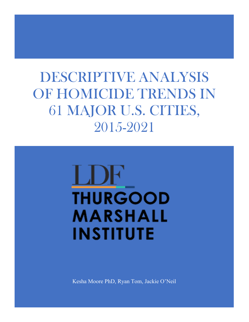# DESCRIPTIVE ANALYSIS OF HOMICIDE TRENDS IN 61 MAJOR U.S. CITIES, 2015-2021

# **THURGOOD** MARSHALL **INSTITUTE**

Kesha Moore PhD, Ryan Tom, Jackie O'Neil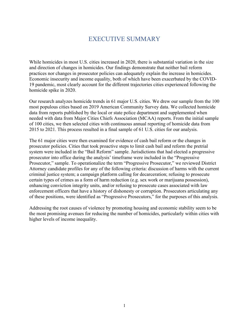#### EXECUTIVE SUMMARY

While homicides in most U.S. cities increased in 2020, there is substantial variation in the size and direction of changes in homicides. Our findings demonstrate that neither bail reform practices nor changes in prosecutor policies can adequately explain the increase in homicides. Economic insecurity and income equality, both of which have been exacerbated by the COVID-19 pandemic, most clearly account for the different trajectories cities experienced following the homicide spike in 2020.

Our research analyzes homicide trends in 61 major U.S. cities. We drew our sample from the 100 most populous cities based on 2019 American Community Survey data. We collected homicide data from reports published by the local or state police department and supplemented when needed with data from Major Cities Chiefs Association (MCAA) reports. From the initial sample of 100 cities, we then selected cities with continuous annual reporting of homicide data from 2015 to 2021. This process resulted in a final sample of 61 U.S. cities for our analysis.

The 61 major cities were then examined for evidence of cash bail reform or the changes in prosecutor policies. Cities that took proactive steps to limit cash bail and reform the pretrial system were included in the "Bail Reform" sample. Jurisdictions that had elected a progressive prosecutor into office during the analysis' timeframe were included in the "Progressive Prosecutor," sample. To operationalize the term "Progressive Prosecutor," we reviewed District Attorney candidate profiles for any of the following criteria: discussion of harms with the current criminal justice system; a campaign platform calling for decarceration; refusing to prosecute certain types of crimes as a form of harm reduction (e.g. sex work or marijuana possession), enhancing conviction integrity units, and/or refusing to prosecute cases associated with law enforcement officers that have a history of dishonesty or corruption. Prosecutors articulating any of these positions, were identified as "Progressive Prosecutors," for the purposes of this analysis.

Addressing the root causes of violence by promoting housing and economic stability seem to be the most promising avenues for reducing the number of homicides, particularly within cities with higher levels of income inequality.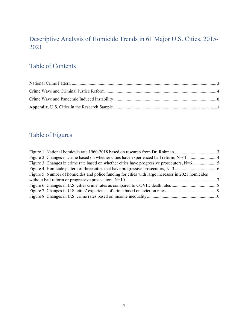## Descriptive Analysis of Homicide Trends in 61 Major U.S. Cities, 2015- 2021

# Table of Contents

# Table of Figures

| Figure 5. Number of homicides and police funding for cities with large increases in 2021 homicides |  |
|----------------------------------------------------------------------------------------------------|--|
|                                                                                                    |  |
|                                                                                                    |  |
|                                                                                                    |  |
|                                                                                                    |  |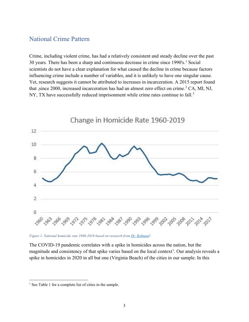#### <span id="page-3-0"></span>National Crime Pattern

Crime, including violent crime, has had a relatively consistent and steady decline over the past 30 years. There has been a sharp and continuous decrease in crime since  $1990's$  $1990's$ .<sup>1</sup> Social scientists do not have a clear explanation for what caused the decline in crime because factors influencing crime include a number of variables, and it is unlikely to have one singular cause. Yet, research suggests it cannot be attributed to increases in incarceration. A 2015 report found that ,since [2](#page-15-1)000, increased incarceration has had an almost zero effect on crime.<sup>2</sup> CA, MI, NJ, NY, TX have successfully reduced imprisonment while crime rates continue to fall.<sup>[3](#page-15-2)</sup>



*Figure 1. National homicide rate 1960-2018 based on research from [Dr. Rohman](https://johnkroman.substack.com/p/the-great-american-mystery-story?utm_source=url)[4](#page-15-3)*

The COVID-19 pandemic correlates with a spike in homicides across the nation, but the magnitude and consistency of that spike varies based on the local context<sup>[1](#page-3-1)</sup>. Our analysis reveals a spike in homicides in 2020 in all but one (Virginia Beach) of the cities in our sample. In this

<span id="page-3-1"></span><sup>&</sup>lt;sup>1</sup> See Table 1 for a complete list of cities in the sample.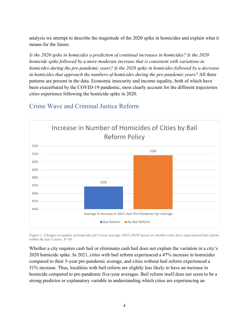analysis we attempt to describe the magnitude of the 2020 spike in homicides and explain what it means for the future.

*Is the 2020 spike in homicides a prediction of continual increases in homicides? Is the 2020 homicide spike followed by a more moderate increase that is consistent with variations in homicides during the pre-pandemic years? Is the 2020 spike in homicides followed by a decrease in homicides that approach the numbers of homicides during the pre-pandemic years?* All three patterns are present in the data. Economic insecurity and income equality, both of which have been exacerbated by the COVID-19 pandemic, most clearly account for the different trajectories cities experience following the homicide spike in 2020.

### <span id="page-4-0"></span>Crime Wave and Criminal Justice Reform



<span id="page-4-1"></span>*Figure 2. Changes in number of homicides for 5-year average (2015-2019) based on whether cities have experienced bail reform within the last 5 years; N=61*

Whether a city requires cash bail or eliminates cash bail does not explain the variation in a city's 2020 homicide spike. In 2021, cities with bail reform experienced a 47% increase in homicides compared to their 5-year pre-pandemic average, and cities without bail reform experienced a 51% increase. Thus, localities with bail reform are slightly less likely to have an increase in homicide compared to pre-pandemic five-year averages. Bail reform itself does not seem to be a strong predictor or explanatory variable in understanding which cities are experiencing an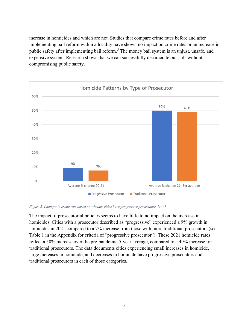increase in homicides and which are not. Studies that compare crime rates before and after implementing bail reform within a locality have shown no impact on crime rates or an increase in public safety after implementing bail reform.<sup>[5](#page-15-4)</sup> The money bail system is an unjust, unsafe, and expensive system. Research shows that we can successfully decarcerate our jails without compromising public safety.



*Figure 2. Changes in crime rate based on whether cities have progressive prosecutors, N=61*

The impact of prosecutorial policies seems to have little to no impact on the increase in homicides. Cities with a prosecutor described as "progressive" experienced a 9% growth in homicides in 2021 compared to a 7% increase from those with more traditional prosecutors (see Table 1 in the Appendix for criteria of "progressive prosecutor"). These 2021 homicide rates reflect a 50% increase over the pre-pandemic 5-year average, compared to a 49% increase for traditional prosecutors. The data documents cities experiencing small increases in homicide, large increases in homicide, and decreases in homicide have progressive prosecutors and traditional prosecutors in each of those categories.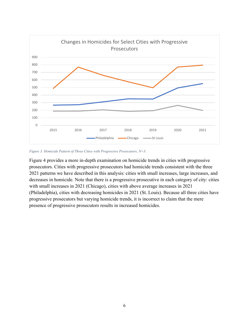

*Figure 3. Homicide Pattern of Three Cities with Progressive Prosecutors, N=3.*

Figure 4 provides a more in-depth examination on homicide trends in cities with progressive prosecutors. Cities with progressive prosecutors had homicide trends consistent with the three 2021 patterns we have described in this analysis: cities with small increases, large increases, and decreases in homicide. Note that there is a progressive prosecutive in each category of city: cities with small increases in 2021 (Chicago), cities with above average increases in 2021 (Philadelphia), cities with decreasing homicides in 2021 (St. Louis). Because all three cities have progressive prosecutors but varying homicide trends, it is incorrect to claim that the mere presence of progressive prosecutors results in increased homicides.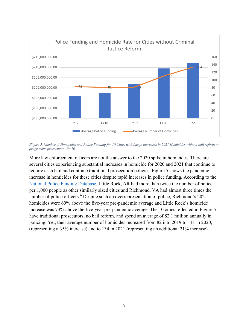

*Figure 5. Number of Homicides and Police Funding for 10 Cities with Large Increases in 2021 Homicides without bail reform or progressive prosecutors. N=10*

More law enforcement officers are not the answer to the 2020 spike in homicides. There are several cities experiencing substantial increases in homicide for 2020 and 2021 that continue to require cash bail and continue traditional prosecution policies. Figure 5 shows the pandemic increase in homicides for these cities despite rapid increases in police funding. According to the [National Police Funding Database,](https://policefundingdatabase.org/) Little Rock, AR had more than twice the number of police per 1,000 people as other similarly sized cities and Richmond, VA had almost three times the number of police officers. [6](#page-15-5) Despite such an overrepresentation of police, Richmond's 2021 homicides were 60% above the five-year pre-pandemic average and Little Rock's homicide increase was 73% above the five-year pre-pandemic average. The 10 cities reflected in Figure 5 have traditional prosecutors, no bail reform, and spend an average of \$2.1 million annually in policing. Yet, their average number of homicides increased from 82 into 2019 to 111 in 2020, (representing a 35% increase) and to 134 in 2021 (representing an additional 21% increase).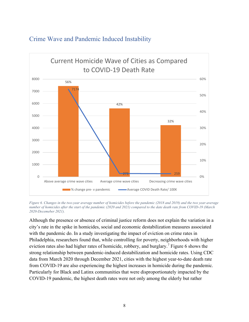

#### <span id="page-8-0"></span>Crime Wave and Pandemic Induced Instability

*Figure 6. Changes in the two-year average number of homicides before the pandemic (2018 and 2019) and the two year-average number of homicides after the start of the pandemic (2020 and 2021) compared to the date death rate from COVID-19 (March 2020-Decemeber 2021).*

Although the presence or absence of criminal justice reform does not explain the variation in a city's rate in the spike in homicides, social and economic destabilization measures associated with the pandemic do. In a study investigating the impact of eviction on crime rates in Philadelphia, researchers found that, while controlling for poverty, neighborhoods with higher eviction rates also had higher rates of homicide, robbery, and burglary.<sup>[7](#page-15-6)</sup> Figure 6 shows the strong relationship between pandemic-induced destabilization and homicide rates. Using CDC data from March 2020 through December 2021, cities with the highest year-to-date death rate from COVID-19 are also experiencing the highest increases in homicide during the pandemic. Particularly for Black and Latinx communities that were disproportionately impacted by the COVID-19 pandemic, the highest death rates were not only among the elderly but rather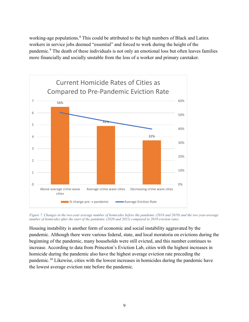working-age populations.<sup>[8](#page-15-7)</sup> This could be attributed to the high numbers of Black and Latinx workers in service jobs deemed "essential" and forced to work during the height of the pandemic.<sup>[9](#page-15-8)</sup> The death of these individuals is not only an emotional loss but often leaves families more financially and socially unstable from the loss of a worker and primary caretaker.



*Figure 7. Changes in the two-year average number of homicides before the pandemic (2018 and 2019) and the two year-average number of homicides after the start of the pandemic (2020 and 2021) compared to 2019 eviction rates.*

Housing instability is another form of economic and social instability aggravated by the pandemic. Although there were various federal, state, and local moratoria on evictions during the beginning of the pandemic, many households were still evicted, and this number continues to increase. According to data from Princeton's Eviction Lab, cities with the highest increases in homicide during the pandemic also have the highest average eviction rate preceding the pandemic.[10](#page-15-9) Likewise, cities with the lowest increases in homicides during the pandemic have the lowest average eviction rate before the pandemic.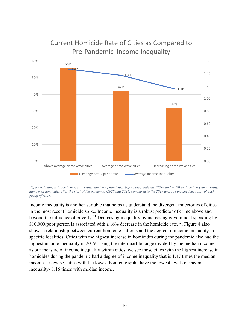

*Figure 8. Changes in the two-year average number of homicides before the pandemic (2018 and 2019) and the two year-average number of homicides after the start of the pandemic (2020 and 2021) compared to the 2019 average income inequality of each group of cities.*

Income inequality is another variable that helps us understand the divergent trajectories of cities in the most recent homicide spike. Income inequality is a robust predictor of crime above and beyond the influence of poverty.<sup>[11](#page-15-10)</sup> Decreasing inequality by increasing government spending by  $$10,000$ /poor person is associated with a 16% decrease in the homicide rate.<sup>12</sup>. Figure 8 also shows a relationship between current homicide patterns and the degree of income inequality in specific localities. Cities with the highest increase in homicides during the pandemic also had the highest income inequality in 2019. Using the interquartile range divided by the median income as our measure of income inequality within cities, we see those cities with the highest increase in homicides during the pandemic had a degree of income inequality that is 1.47 times the median income. Likewise, cities with the lowest homicide spike have the lowest levels of income inequality- 1.16 times with median income.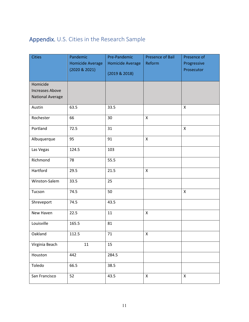# <span id="page-11-0"></span>Appendix. U.S. Cities in the Research Sample

| <b>Cities</b>           | Pandemic                                 | Pre-Pandemic            | <b>Presence of Bail</b> | Presence of               |
|-------------------------|------------------------------------------|-------------------------|-------------------------|---------------------------|
|                         | <b>Homicide Average</b><br>(2020 & 2021) | <b>Homicide Average</b> | Reform                  | Progressive<br>Prosecutor |
|                         |                                          | (2019 & 2018)           |                         |                           |
| Homicide                |                                          |                         |                         |                           |
| <b>Increases Above</b>  |                                          |                         |                         |                           |
| <b>National Average</b> |                                          |                         |                         |                           |
| Austin                  | 63.5                                     | 33.5                    |                         | X                         |
| Rochester               | 66                                       | 30                      | X                       |                           |
| Portland                | 72.5                                     | 31                      |                         | X                         |
| Albuquerque             | 95                                       | 91                      | $\mathsf{X}$            |                           |
| Las Vegas               | 124.5                                    | 103                     |                         |                           |
| Richmond                | 78                                       | 55.5                    |                         |                           |
| Hartford                | 29.5                                     | 21.5                    | $\pmb{\mathsf{X}}$      |                           |
| Winston-Salem           | 33.5                                     | 25                      |                         |                           |
| Tucson                  | 74.5                                     | 50                      |                         | $\mathsf{x}$              |
| Shreveport              | 74.5                                     | 43.5                    |                         |                           |
| New Haven               | 22.5                                     | 11                      | X                       |                           |
| Louisville              | 165.5                                    | 81                      |                         |                           |
| Oakland                 | 112.5                                    | 71                      | $\pmb{\times}$          |                           |
| Virginia Beach          | 11                                       | 15                      |                         |                           |
| Houston                 | 442                                      | 284.5                   |                         |                           |
| Toledo                  | 66.5                                     | 38.5                    |                         |                           |
| San Francisco           | 52                                       | 43.5                    | X                       | X                         |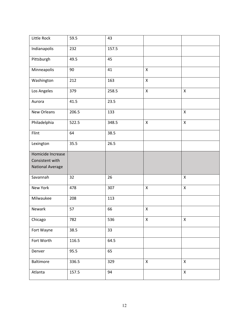| Little Rock             | 59.5  | 43    |                           |              |
|-------------------------|-------|-------|---------------------------|--------------|
| Indianapolis            | 232   | 157.5 |                           |              |
| Pittsburgh              | 49.5  | 45    |                           |              |
| Minneapolis             | 90    | 41    | $\boldsymbol{\mathsf{X}}$ |              |
| Washington              | 212   | 163   | $\mathsf{X}$              |              |
| Los Angeles             | 379   | 258.5 | $\pmb{\mathsf{X}}$        | X            |
| Aurora                  | 41.5  | 23.5  |                           |              |
| New Orleans             | 206.5 | 133   |                           | $\mathsf{X}$ |
| Philadelphia            | 522.5 | 348.5 | $\pmb{\mathsf{X}}$        | $\mathsf{X}$ |
| Flint                   | 64    | 38.5  |                           |              |
| Lexington               | 35.5  | 26.5  |                           |              |
| Homicide Increase       |       |       |                           |              |
| Consistent with         |       |       |                           |              |
| <b>National Average</b> |       |       |                           |              |
| Savannah                | 32    | 26    |                           | X            |
| New York                | 478   | 307   | $\pmb{\times}$            | X            |
| Milwaukee               | 208   | 113   |                           |              |
| Newark                  | 57    | 66    | $\pmb{\mathsf{X}}$        |              |
| Chicago                 | 782   | 536   | X                         | X            |
| Fort Wayne              | 38.5  | 33    |                           |              |
| Fort Worth              | 116.5 | 64.5  |                           |              |
| Denver                  | 95.5  | 65    |                           |              |
| Baltimore               | 336.5 | 329   | $\mathsf{X}$              | $\mathsf{X}$ |
| Atlanta                 | 157.5 | 94    |                           | $\mathsf X$  |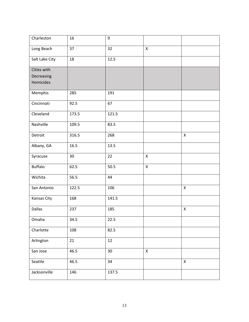| Charleston     | 16    | $\boldsymbol{9}$ |                |                    |
|----------------|-------|------------------|----------------|--------------------|
| Long Beach     | 37    | 32               | $\pmb{\times}$ |                    |
| Salt Lake City | 18    | 12.5             |                |                    |
| Cities with    |       |                  |                |                    |
| Decreasing     |       |                  |                |                    |
| Homicides      |       |                  |                |                    |
| Memphis        | 285   | 191              |                |                    |
| Cincinnati     | 92.5  | 67               |                |                    |
| Cleveland      | 173.5 | 121.5            |                |                    |
| Nashville      | 109.5 | 83.5             |                |                    |
| Detroit        | 316.5 | 268              |                | $\mathsf{X}$       |
| Albany, GA     | 16.5  | 13.5             |                |                    |
| Syracuse       | 30    | 22               | $\mathsf{X}$   |                    |
| <b>Buffalo</b> | 62.5  | 50.5             | $\mathsf X$    |                    |
| Wichita        | 56.5  | 44               |                |                    |
| San Antonio    | 122.5 | 106              |                | $\mathsf{x}$       |
| Kansas City    | 168   | 141.5            |                |                    |
| Dallas         | 237   | 185              |                | $\pmb{\mathsf{X}}$ |
| Omaha          | 34.5  | 22.5             |                |                    |
| Charlotte      | 108   | 82.5             |                |                    |
| Arlington      | 21    | 12               |                |                    |
| San Jose       | 46.5  | 30               | $\mathsf{X}$   |                    |
| Seattle        | 46.5  | 34               |                | $\pmb{\mathsf{X}}$ |
| Jacksonville   | 146   | 137.5            |                |                    |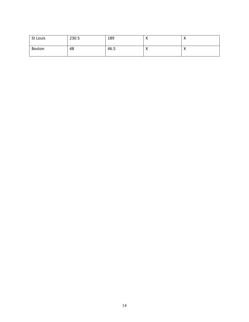| St Louis | 230.5 | 189  | $\lambda$ | $\lambda$ |
|----------|-------|------|-----------|-----------|
| Boston   | 48    | 46.5 | $\lambda$ | $\lambda$ |